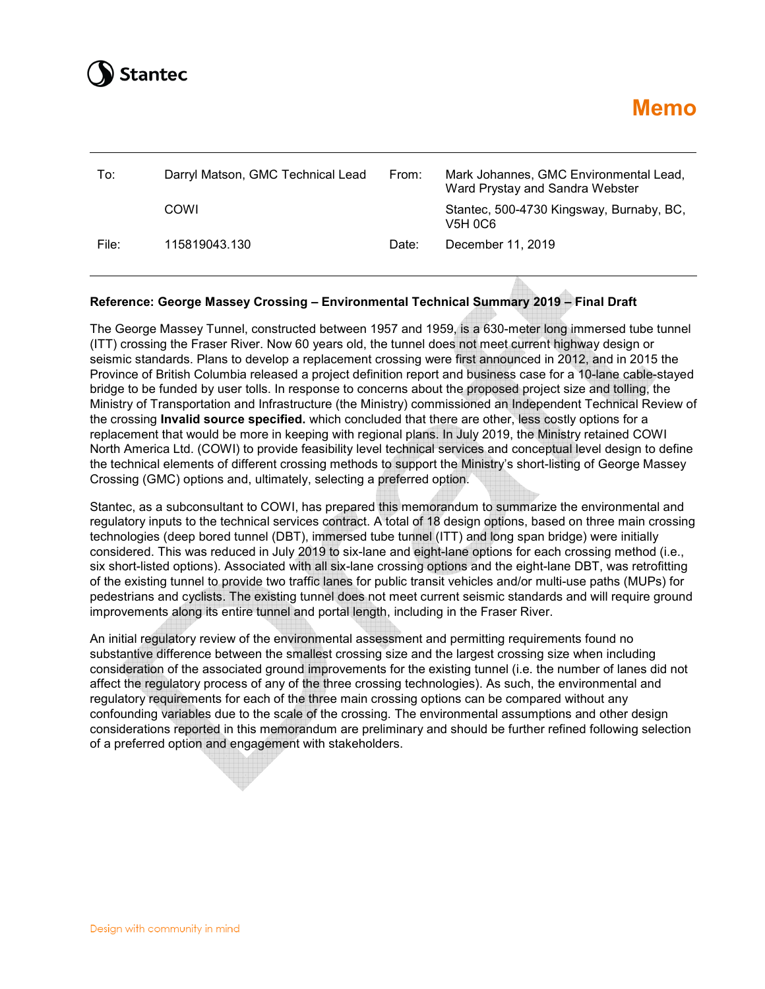

# *Memo**Memo**Memo**Memo*

| To:   | Darryl Matson, GMC Technical Lead<br>From: |       | Mark Johannes, GMC Environmental Lead,<br>Ward Prystay and Sandra Webster |  |
|-------|--------------------------------------------|-------|---------------------------------------------------------------------------|--|
|       | COWI                                       |       | Stantec, 500-4730 Kingsway, Burnaby, BC,<br>V5H 0C6                       |  |
| File: | 115819043.130                              | Date: | December 11, 2019                                                         |  |

### **Reference: George Massey Crossing – Environmental Technical Summary 2019 – Final Draft**

The George Massey Tunnel, constructed between 1957 and 1959, is a 630-meter long immersed tube tunnel (ITT) crossing the Fraser River. Now 60 years old, the tunnel does not meet current highway design or seismic standards. Plans to develop a replacement crossing were first announced in 2012, and in 2015 the Province of British Columbia released a project definition report and business case for a 10-lane cable-stayed bridge to be funded by user tolls. In response to concerns about the proposed project size and tolling, the Ministry of Transportation and Infrastructure (the Ministry) commissioned an Independent Technical Review of the crossing **Invalid source specified.** which concluded that there are other, less costly options for a replacement that would be more in keeping with regional plans. In July 2019, the Ministry retained COWI North America Ltd. (COWI) to provide feasibility level technical services and conceptual level design to define the technical elements of different crossing methods to support the Ministry's short-listing of George Massey Crossing (GMC) options and, ultimately, selecting a preferred option.

Stantec, as a subconsultant to COWI, has prepared this memorandum to summarize the environmental and regulatory inputs to the technical services contract. A total of 18 design options, based on three main crossing technologies (deep bored tunnel (DBT), immersed tube tunnel (ITT) and long span bridge) were initially considered. This was reduced in July 2019 to six-lane and eight-lane options for each crossing method (i.e., six short-listed options). Associated with all six-lane crossing options and the eight-lane DBT, was retrofitting of the existing tunnel to provide two traffic lanes for public transit vehicles and/or multi-use paths (MUPs) for pedestrians and cyclists. The existing tunnel does not meet current seismic standards and will require ground improvements along its entire tunnel and portal length, including in the Fraser River.

An initial regulatory review of the environmental assessment and permitting requirements found no substantive difference between the smallest crossing size and the largest crossing size when including consideration of the associated ground improvements for the existing tunnel (i.e. the number of lanes did not affect the regulatory process of any of the three crossing technologies). As such, the environmental and regulatory requirements for each of the three main crossing options can be compared without any confounding variables due to the scale of the crossing. The environmental assumptions and other design considerations reported in this memorandum are preliminary and should be further refined following selection of a preferred option and engagement with stakeholders.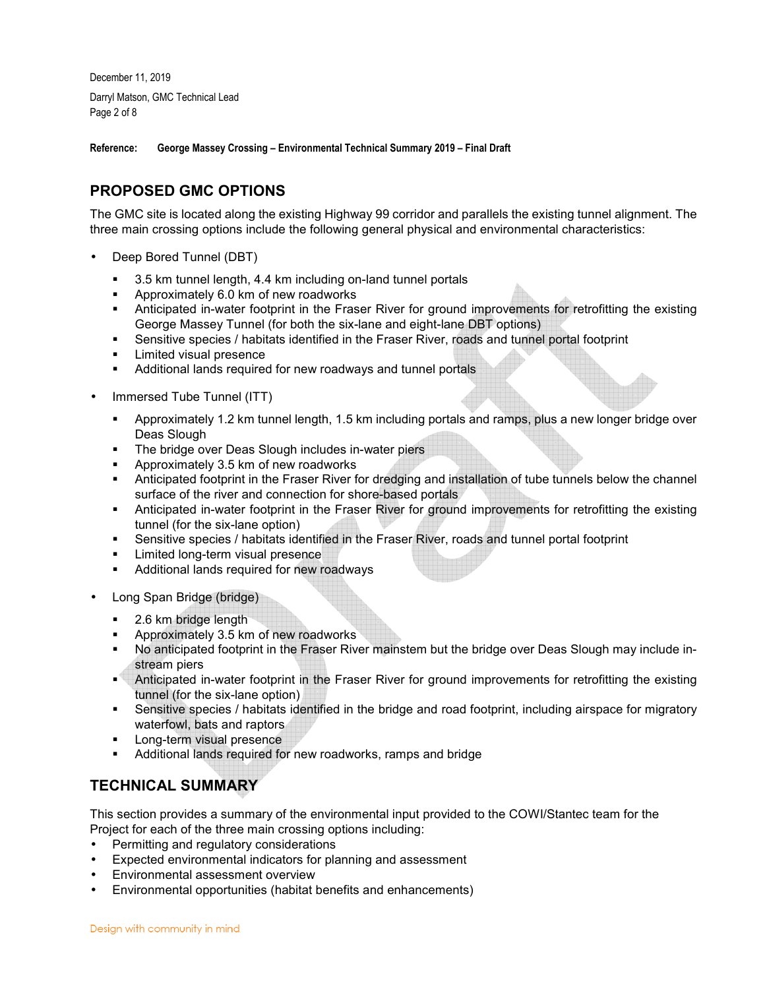December 11, 2019 Darryl Matson, GMC Technical Lead Page 2 of 8

**Reference: George Massey Crossing – Environmental Technical Summary 2019 – Final Draft** 

# **PROPOSED GMC OPTIONS**

The GMC site is located along the existing Highway 99 corridor and parallels the existing tunnel alignment. The three main crossing options include the following general physical and environmental characteristics:

- Deep Bored Tunnel (DBT)
	- 3.5 km tunnel length, 4.4 km including on-land tunnel portals
	- **Approximately 6.0 km of new roadworks**
	- Anticipated in-water footprint in the Fraser River for ground improvements for retrofitting the existing George Massey Tunnel (for both the six-lane and eight-lane DBT options)
	- Sensitive species / habitats identified in the Fraser River, roads and tunnel portal footprint
	- **Limited visual presence**
	- Additional lands required for new roadways and tunnel portals
- Immersed Tube Tunnel (ITT)
	- Approximately 1.2 km tunnel length, 1.5 km including portals and ramps, plus a new longer bridge over Deas Slough
	- **The bridge over Deas Slough includes in-water piers**
	- **•** Approximately 3.5 km of new roadworks
	- Anticipated footprint in the Fraser River for dredging and installation of tube tunnels below the channel surface of the river and connection for shore-based portals
	- Anticipated in-water footprint in the Fraser River for ground improvements for retrofitting the existing tunnel (for the six-lane option)
	- Sensitive species / habitats identified in the Fraser River, roads and tunnel portal footprint
	- **Limited long-term visual presence**
	- Additional lands required for new roadways
- Long Span Bridge (bridge)
	- **2.6 km bridge length**
	- **Approximately 3.5 km of new roadworks**
	- No anticipated footprint in the Fraser River mainstem but the bridge over Deas Slough may include instream piers
	- Anticipated in-water footprint in the Fraser River for ground improvements for retrofitting the existing tunnel (for the six-lane option)
	- Sensitive species / habitats identified in the bridge and road footprint, including airspace for migratory waterfowl, bats and raptors
	- Long-term visual presence
	- Additional lands required for new roadworks, ramps and bridge

# **TECHNICAL SUMMARY**

This section provides a summary of the environmental input provided to the COWI/Stantec team for the Project for each of the three main crossing options including:

- Permitting and regulatory considerations
- Expected environmental indicators for planning and assessment
- Environmental assessment overview
- Environmental opportunities (habitat benefits and enhancements)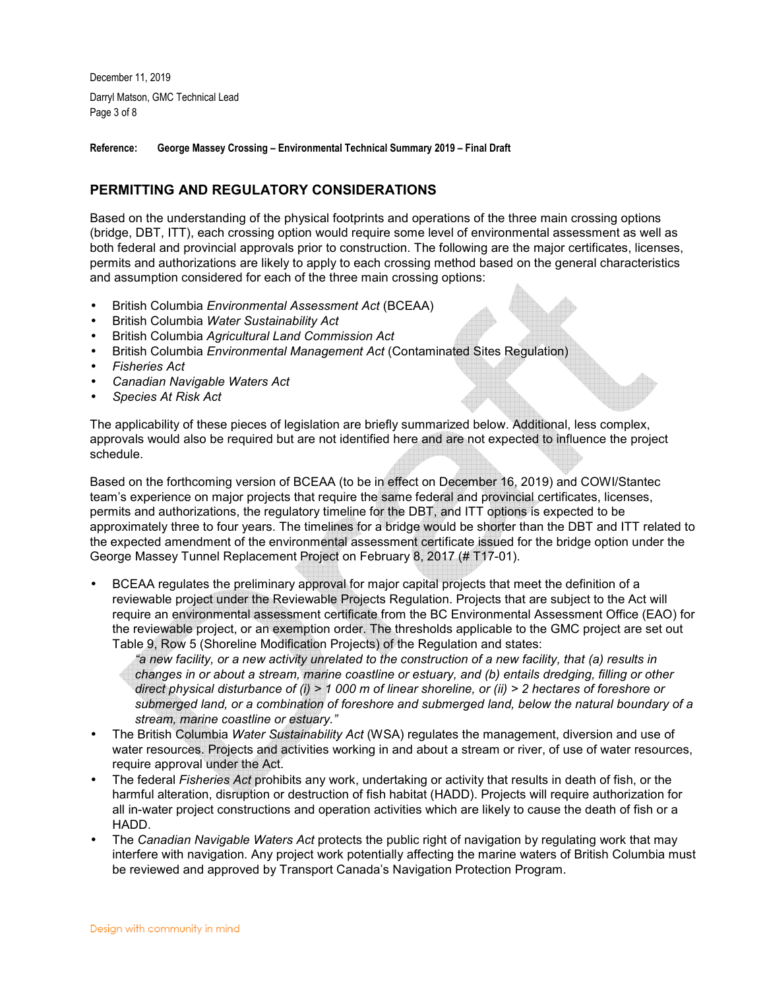December 11, 2019 Darryl Matson, GMC Technical Lead Page 3 of 8

**Reference: George Massey Crossing – Environmental Technical Summary 2019 – Final Draft** 

# **PERMITTING AND REGULATORY CONSIDERATIONS**

Based on the understanding of the physical footprints and operations of the three main crossing options (bridge, DBT, ITT), each crossing option would require some level of environmental assessment as well as both federal and provincial approvals prior to construction. The following are the major certificates, licenses, permits and authorizations are likely to apply to each crossing method based on the general characteristics and assumption considered for each of the three main crossing options:

- British Columbia *Environmental Assessment Act* (BCEAA)
- British Columbia *Water Sustainability Act*
- British Columbia *Agricultural Land Commission Act*
- British Columbia *Environmental Management Act* (Contaminated Sites Regulation)
- *Fisheries Act*
- *Canadian Navigable Waters Act*
- *Species At Risk Act*

The applicability of these pieces of legislation are briefly summarized below. Additional, less complex, approvals would also be required but are not identified here and are not expected to influence the project schedule.

Based on the forthcoming version of BCEAA (to be in effect on December 16, 2019) and COWI/Stantec team's experience on major projects that require the same federal and provincial certificates, licenses, permits and authorizations, the regulatory timeline for the DBT, and ITT options is expected to be approximately three to four years. The timelines for a bridge would be shorter than the DBT and ITT related to the expected amendment of the environmental assessment certificate issued for the bridge option under the George Massey Tunnel Replacement Project on February 8, 2017 (# T17-01).

• BCEAA regulates the preliminary approval for major capital projects that meet the definition of a reviewable project under the Reviewable Projects Regulation. Projects that are subject to the Act will require an environmental assessment certificate from the BC Environmental Assessment Office (EAO) for the reviewable project, or an exemption order. The thresholds applicable to the GMC project are set out Table 9, Row 5 (Shoreline Modification Projects) of the Regulation and states:

*"a new facility, or a new activity unrelated to the construction of a new facility, that (a) results in changes in or about a stream, marine coastline or estuary, and (b) entails dredging, filling or other direct physical disturbance of (i) > 1 000 m of linear shoreline, or (ii) > 2 hectares of foreshore or submerged land, or a combination of foreshore and submerged land, below the natural boundary of a stream, marine coastline or estuary."* 

- The British Columbia *Water Sustainability Act* (WSA) regulates the management, diversion and use of water resources. Projects and activities working in and about a stream or river, of use of water resources, require approval under the Act.
- The federal *Fisheries Act* prohibits any work, undertaking or activity that results in death of fish, or the harmful alteration, disruption or destruction of fish habitat (HADD). Projects will require authorization for all in-water project constructions and operation activities which are likely to cause the death of fish or a HADD.
- The *Canadian Navigable Waters Act* protects the public right of navigation by regulating work that may interfere with navigation. Any project work potentially affecting the marine waters of British Columbia must be reviewed and approved by Transport Canada's Navigation Protection Program.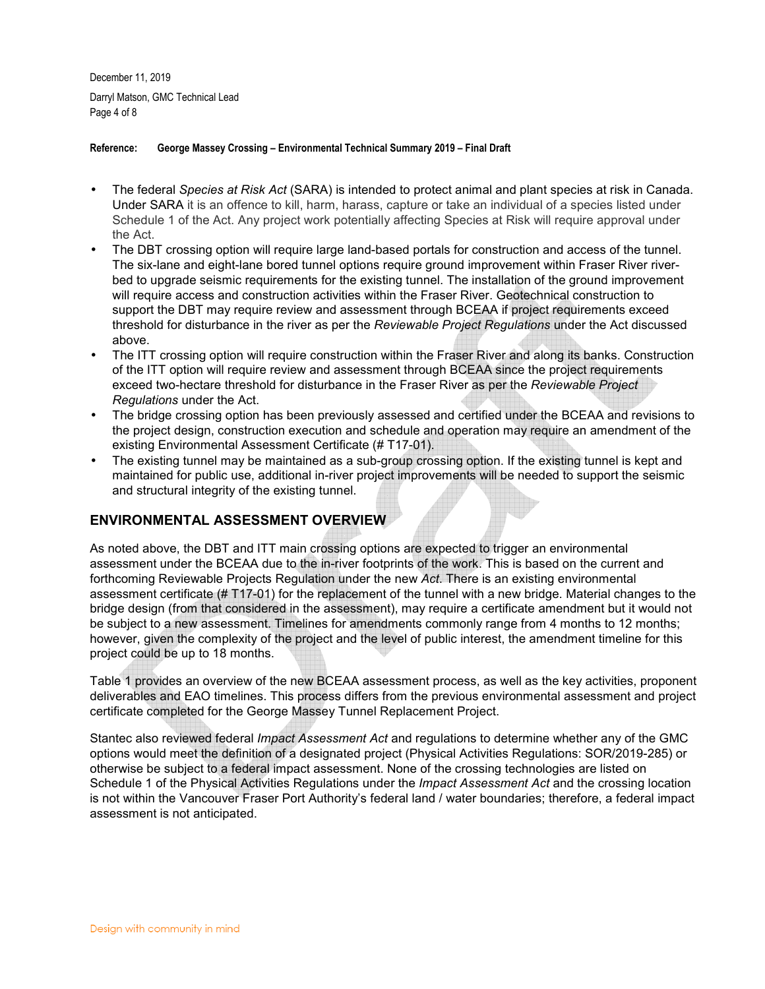December 11, 2019 Darryl Matson, GMC Technical Lead Page 4 of 8

#### **Reference: George Massey Crossing – Environmental Technical Summary 2019 – Final Draft**

- The federal *Species at Risk Act* (SARA) is intended to protect animal and plant species at risk in Canada. Under SARA it is an offence to kill, harm, harass, capture or take an individual of a species listed under Schedule 1 of the Act. Any project work potentially affecting Species at Risk will require approval under the Act.
- The DBT crossing option will require large land-based portals for construction and access of the tunnel. The six-lane and eight-lane bored tunnel options require ground improvement within Fraser River riverbed to upgrade seismic requirements for the existing tunnel. The installation of the ground improvement will require access and construction activities within the Fraser River. Geotechnical construction to support the DBT may require review and assessment through BCEAA if project requirements exceed threshold for disturbance in the river as per the *Reviewable Project Regulations* under the Act discussed above.
- The ITT crossing option will require construction within the Fraser River and along its banks. Construction of the ITT option will require review and assessment through BCEAA since the project requirements exceed two-hectare threshold for disturbance in the Fraser River as per the *Reviewable Project Regulations* under the Act.
- The bridge crossing option has been previously assessed and certified under the BCEAA and revisions to the project design, construction execution and schedule and operation may require an amendment of the existing Environmental Assessment Certificate (# T17-01).
- The existing tunnel may be maintained as a sub-group crossing option. If the existing tunnel is kept and maintained for public use, additional in-river project improvements will be needed to support the seismic and structural integrity of the existing tunnel.

# **ENVIRONMENTAL ASSESSMENT OVERVIEW**

As noted above, the DBT and ITT main crossing options are expected to trigger an environmental assessment under the BCEAA due to the in-river footprints of the work. This is based on the current and forthcoming Reviewable Projects Regulation under the new *Act*. There is an existing environmental assessment certificate (# T17-01) for the replacement of the tunnel with a new bridge. Material changes to the bridge design (from that considered in the assessment), may require a certificate amendment but it would not be subject to a new assessment. Timelines for amendments commonly range from 4 months to 12 months; however, given the complexity of the project and the level of public interest, the amendment timeline for this project could be up to 18 months.

Table 1 provides an overview of the new BCEAA assessment process, as well as the key activities, proponent deliverables and EAO timelines. This process differs from the previous environmental assessment and project certificate completed for the George Massey Tunnel Replacement Project.

Stantec also reviewed federal *Impact Assessment Act* and regulations to determine whether any of the GMC options would meet the definition of a designated project (Physical Activities Regulations: SOR/2019-285) or otherwise be subject to a federal impact assessment. None of the crossing technologies are listed on Schedule 1 of the Physical Activities Regulations under the *Impact Assessment Act* and the crossing location is not within the Vancouver Fraser Port Authority's federal land / water boundaries; therefore, a federal impact assessment is not anticipated.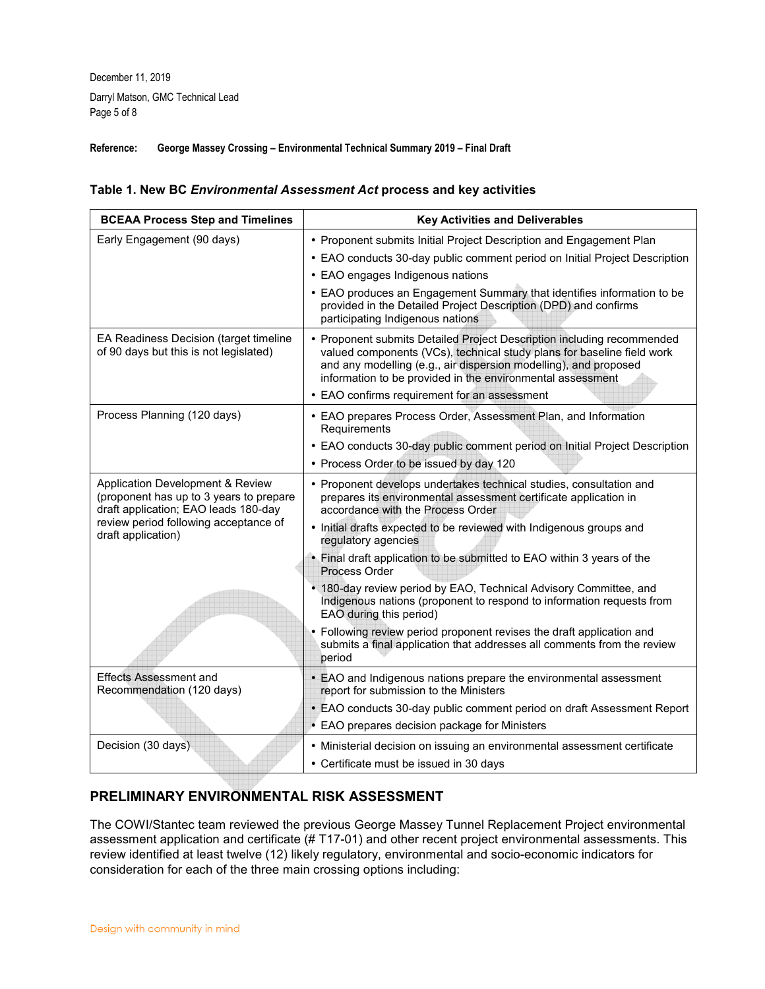December 11, 2019 Darryl Matson, GMC Technical Lead Page 5 of 8

### **Reference: George Massey Crossing – Environmental Technical Summary 2019 – Final Draft**

#### **Table 1. New BC** *Environmental Assessment Act* **process and key activities**

| <b>BCEAA Process Step and Timelines</b>                                                                             | <b>Key Activities and Deliverables</b>                                                                                                                                                                                                                                             |  |  |
|---------------------------------------------------------------------------------------------------------------------|------------------------------------------------------------------------------------------------------------------------------------------------------------------------------------------------------------------------------------------------------------------------------------|--|--|
| Early Engagement (90 days)                                                                                          | • Proponent submits Initial Project Description and Engagement Plan                                                                                                                                                                                                                |  |  |
|                                                                                                                     | • EAO conducts 30-day public comment period on Initial Project Description                                                                                                                                                                                                         |  |  |
|                                                                                                                     | • EAO engages Indigenous nations                                                                                                                                                                                                                                                   |  |  |
|                                                                                                                     | • EAO produces an Engagement Summary that identifies information to be<br>provided in the Detailed Project Description (DPD) and confirms<br>participating Indigenous nations                                                                                                      |  |  |
| EA Readiness Decision (target timeline<br>of 90 days but this is not legislated)                                    | • Proponent submits Detailed Project Description including recommended<br>valued components (VCs), technical study plans for baseline field work<br>and any modelling (e.g., air dispersion modelling), and proposed<br>information to be provided in the environmental assessment |  |  |
|                                                                                                                     | • EAO confirms requirement for an assessment                                                                                                                                                                                                                                       |  |  |
| Process Planning (120 days)                                                                                         | • EAO prepares Process Order, Assessment Plan, and Information<br>Requirements                                                                                                                                                                                                     |  |  |
|                                                                                                                     | • EAO conducts 30-day public comment period on Initial Project Description                                                                                                                                                                                                         |  |  |
|                                                                                                                     | • Process Order to be issued by day 120                                                                                                                                                                                                                                            |  |  |
| Application Development & Review<br>(proponent has up to 3 years to prepare<br>draft application; EAO leads 180-day | • Proponent develops undertakes technical studies, consultation and<br>prepares its environmental assessment certificate application in<br>accordance with the Process Order                                                                                                       |  |  |
| review period following acceptance of<br>draft application)                                                         | • Initial drafts expected to be reviewed with Indigenous groups and<br>regulatory agencies                                                                                                                                                                                         |  |  |
|                                                                                                                     | • Final draft application to be submitted to EAO within 3 years of the<br>Process Order                                                                                                                                                                                            |  |  |
|                                                                                                                     | • 180-day review period by EAO, Technical Advisory Committee, and<br>Indigenous nations (proponent to respond to information requests from<br>EAO during this period)                                                                                                              |  |  |
|                                                                                                                     | • Following review period proponent revises the draft application and<br>submits a final application that addresses all comments from the review<br>period                                                                                                                         |  |  |
| <b>Effects Assessment and</b><br>Recommendation (120 days)                                                          | • EAO and Indigenous nations prepare the environmental assessment<br>report for submission to the Ministers                                                                                                                                                                        |  |  |
|                                                                                                                     | • EAO conducts 30-day public comment period on draft Assessment Report                                                                                                                                                                                                             |  |  |
|                                                                                                                     | • EAO prepares decision package for Ministers                                                                                                                                                                                                                                      |  |  |
| Decision (30 days)                                                                                                  | • Ministerial decision on issuing an environmental assessment certificate                                                                                                                                                                                                          |  |  |
|                                                                                                                     | • Certificate must be issued in 30 days                                                                                                                                                                                                                                            |  |  |
|                                                                                                                     |                                                                                                                                                                                                                                                                                    |  |  |

# **PRELIMINARY ENVIRONMENTAL RISK ASSESSMENT**

The COWI/Stantec team reviewed the previous George Massey Tunnel Replacement Project environmental assessment application and certificate (# T17-01) and other recent project environmental assessments. This review identified at least twelve (12) likely regulatory, environmental and socio-economic indicators for consideration for each of the three main crossing options including: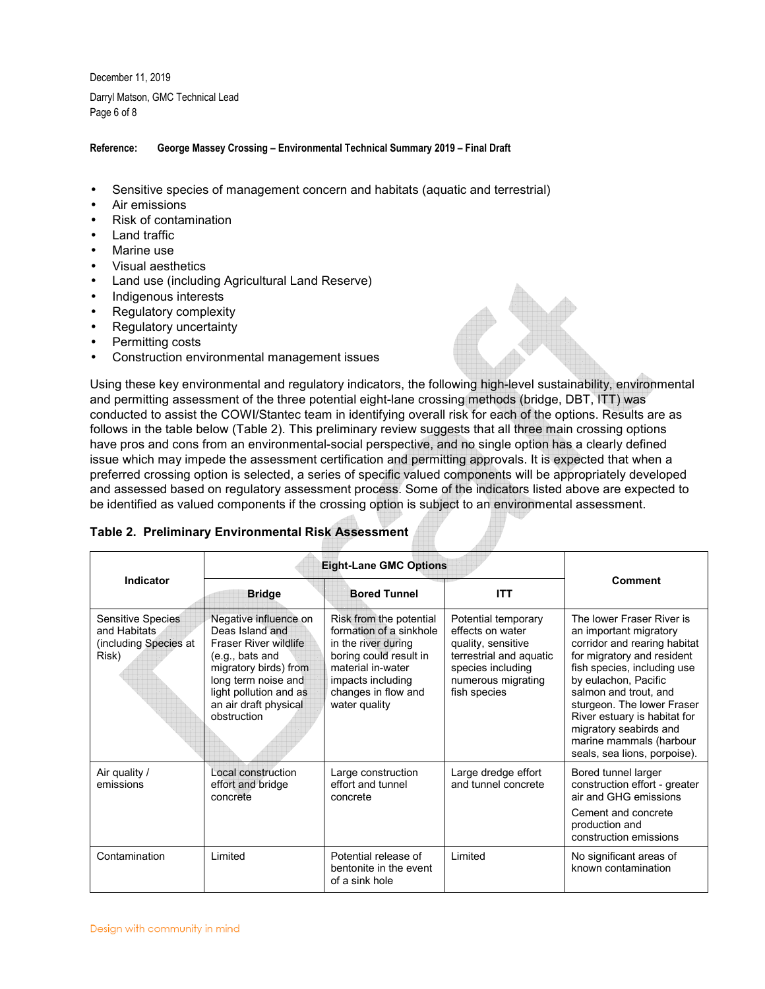December 11, 2019 Darryl Matson, GMC Technical Lead Page 6 of 8

#### **Reference: George Massey Crossing – Environmental Technical Summary 2019 – Final Draft**

- Sensitive species of management concern and habitats (aquatic and terrestrial)
- Air emissions
- Risk of contamination
- Land traffic
- Marine use
- Visual aesthetics
- Land use (including Agricultural Land Reserve)
- Indigenous interests
- Regulatory complexity
- Regulatory uncertainty
- Permitting costs
- Construction environmental management issues

Using these key environmental and regulatory indicators, the following high-level sustainability, environmental and permitting assessment of the three potential eight-lane crossing methods (bridge, DBT, ITT) was conducted to assist the COWI/Stantec team in identifying overall risk for each of the options. Results are as follows in the table below (Table 2). This preliminary review suggests that all three main crossing options have pros and cons from an environmental-social perspective, and no single option has a clearly defined issue which may impede the assessment certification and permitting approvals. It is expected that when a preferred crossing option is selected, a series of specific valued components will be appropriately developed and assessed based on regulatory assessment process. Some of the indicators listed above are expected to be identified as valued components if the crossing option is subject to an environmental assessment.

### **Table 2. Preliminary Environmental Risk Assessment**

|                                                                     | <b>Eight-Lane GMC Options</b>                                                                                                                                                                                   |                                                                                                                                                                                       |                                                                                                                                                     |                                                                                                                                                                                                                                                                                                                                                      |
|---------------------------------------------------------------------|-----------------------------------------------------------------------------------------------------------------------------------------------------------------------------------------------------------------|---------------------------------------------------------------------------------------------------------------------------------------------------------------------------------------|-----------------------------------------------------------------------------------------------------------------------------------------------------|------------------------------------------------------------------------------------------------------------------------------------------------------------------------------------------------------------------------------------------------------------------------------------------------------------------------------------------------------|
| Indicator                                                           | <b>Bridge</b>                                                                                                                                                                                                   | <b>Bored Tunnel</b>                                                                                                                                                                   | <b>ITT</b>                                                                                                                                          | Comment                                                                                                                                                                                                                                                                                                                                              |
| Sensitive Species<br>and Habitats<br>(including Species at<br>Risk) | Negative influence on<br>Deas Island and<br><b>Fraser River wildlife</b><br>$(e.q.,$ bats and<br>migratory birds) from<br>long term noise and<br>light pollution and as<br>an air draft physical<br>obstruction | Risk from the potential<br>formation of a sinkhole<br>in the river during<br>boring could result in<br>material in-water<br>impacts including<br>changes in flow and<br>water quality | Potential temporary<br>effects on water<br>quality, sensitive<br>terrestrial and aquatic<br>species including<br>numerous migrating<br>fish species | The lower Fraser River is<br>an important migratory<br>corridor and rearing habitat<br>for migratory and resident<br>fish species, including use<br>by eulachon, Pacific<br>salmon and trout, and<br>sturgeon. The lower Fraser<br>River estuary is habitat for<br>migratory seabirds and<br>marine mammals (harbour<br>seals, sea lions, porpoise). |
| Air quality /<br>emissions                                          | Local construction<br>effort and bridge<br>concrete                                                                                                                                                             | Large construction<br>effort and tunnel<br>concrete                                                                                                                                   | Large dredge effort<br>and tunnel concrete                                                                                                          | Bored tunnel larger<br>construction effort - greater<br>air and GHG emissions<br>Cement and concrete<br>production and<br>construction emissions                                                                                                                                                                                                     |
| Contamination                                                       | Limited                                                                                                                                                                                                         | Potential release of<br>bentonite in the event<br>of a sink hole                                                                                                                      | Limited                                                                                                                                             | No significant areas of<br>known contamination                                                                                                                                                                                                                                                                                                       |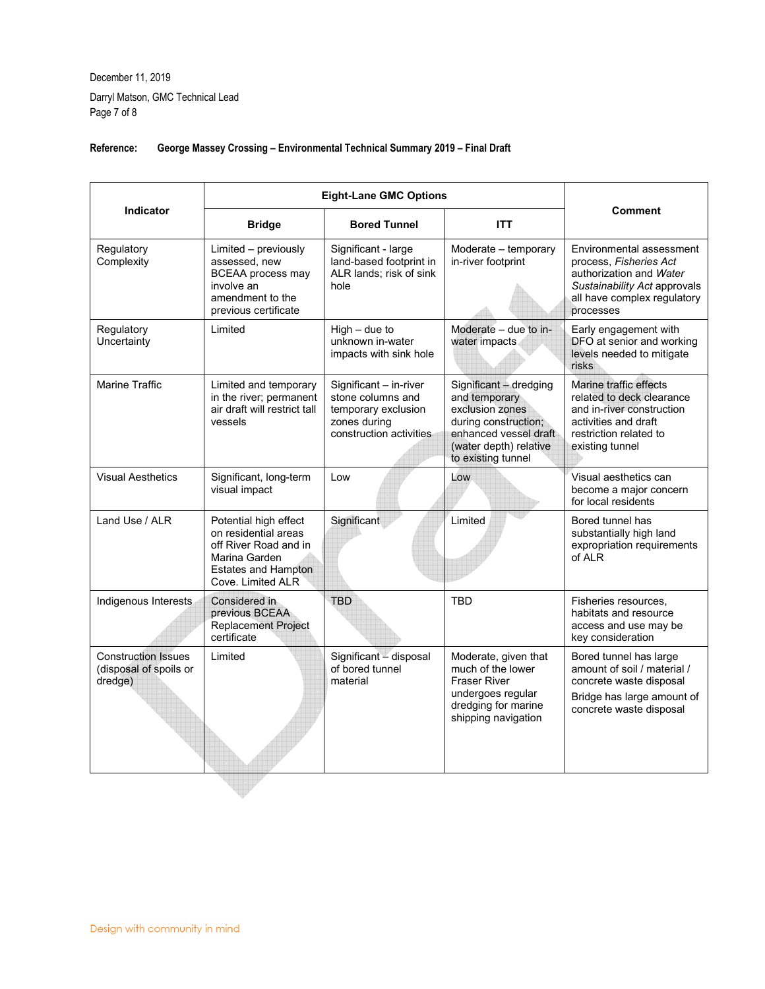December 11, 2019 Darryl Matson, GMC Technical Lead Page 7 of 8

|                                                                 | <b>Eight-Lane GMC Options</b>                                                                                                              |                                                                                                               |                                                                                                                                                             |                                                                                                                                                           |  |
|-----------------------------------------------------------------|--------------------------------------------------------------------------------------------------------------------------------------------|---------------------------------------------------------------------------------------------------------------|-------------------------------------------------------------------------------------------------------------------------------------------------------------|-----------------------------------------------------------------------------------------------------------------------------------------------------------|--|
| <b>Indicator</b>                                                | <b>Bridge</b>                                                                                                                              | <b>Bored Tunnel</b>                                                                                           | <b>ITT</b>                                                                                                                                                  | <b>Comment</b>                                                                                                                                            |  |
| Regulatory<br>Complexity                                        | Limited - previously<br>assessed, new<br><b>BCEAA</b> process may<br>involve an<br>amendment to the<br>previous certificate                | Significant - large<br>land-based footprint in<br>ALR lands: risk of sink<br>hole                             | Moderate - temporary<br>in-river footprint                                                                                                                  | Environmental assessment<br>process, Fisheries Act<br>authorization and Water<br>Sustainability Act approvals<br>all have complex regulatory<br>processes |  |
| Regulatory<br>Uncertainty                                       | Limited                                                                                                                                    | $High - due to$<br>unknown in-water<br>impacts with sink hole                                                 | Moderate - due to in-<br>water impacts                                                                                                                      | Early engagement with<br>DFO at senior and working<br>levels needed to mitigate<br>risks                                                                  |  |
| Marine Traffic                                                  | Limited and temporary<br>in the river; permanent<br>air draft will restrict tall<br>vessels                                                | Significant - in-river<br>stone columns and<br>temporary exclusion<br>zones during<br>construction activities | Significant - dredging<br>and temporary<br>exclusion zones<br>during construction;<br>enhanced vessel draft<br>(water depth) relative<br>to existing tunnel | Marine traffic effects<br>related to deck clearance<br>and in-river construction<br>activities and draft<br>restriction related to<br>existing tunnel     |  |
| <b>Visual Aesthetics</b>                                        | Significant, long-term<br>visual impact                                                                                                    | Low                                                                                                           | Low                                                                                                                                                         | Visual aesthetics can<br>become a major concern<br>for local residents                                                                                    |  |
| Land Use / ALR                                                  | Potential high effect<br>on residential areas<br>off River Road and in<br>Marina Garden<br><b>Estates and Hampton</b><br>Cove. Limited ALR | Significant                                                                                                   | Limited                                                                                                                                                     | Bored tunnel has<br>substantially high land<br>expropriation requirements<br>of ALR                                                                       |  |
| Indigenous Interests                                            | Considered in<br>previous BCEAA<br><b>Replacement Project</b><br>certificate                                                               | <b>TBD</b>                                                                                                    | <b>TBD</b>                                                                                                                                                  | Fisheries resources,<br>habitats and resource<br>access and use may be<br>key consideration                                                               |  |
| <b>Construction Issues</b><br>(disposal of spoils or<br>dredge) | Limited                                                                                                                                    | Significant - disposal<br>of bored tunnel<br>material                                                         | Moderate, given that<br>much of the lower<br><b>Fraser River</b><br>undergoes regular<br>dredging for marine<br>shipping navigation                         | Bored tunnel has large<br>amount of soil / material /<br>concrete waste disposal<br>Bridge has large amount of<br>concrete waste disposal                 |  |
|                                                                 |                                                                                                                                            |                                                                                                               |                                                                                                                                                             |                                                                                                                                                           |  |

# **Reference: George Massey Crossing – Environmental Technical Summary 2019 – Final Draft**